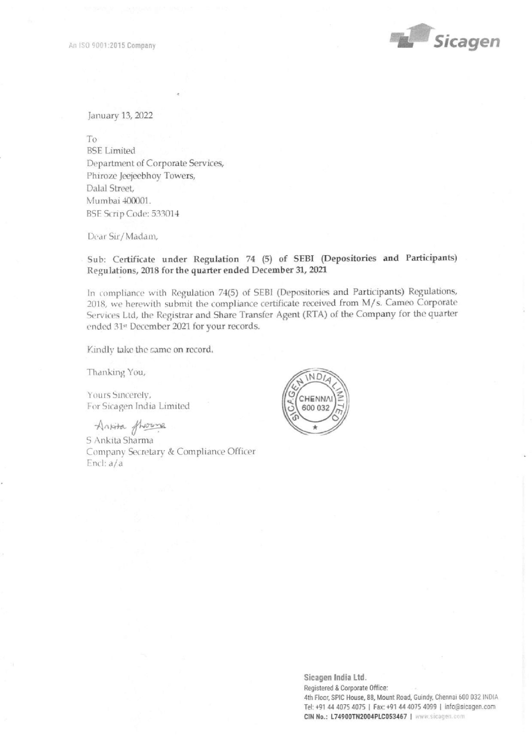

January 13, 2022

To BSE Limited Department of Corporate Services, Phiroze Jeejeebhoy Towers, Dalal Street, Mumbai 400001, BSE Scrip Code: 533014

Dear Sir/ Madain,

Sub: Certificate under Regulation 74 (5) of SEBI (Depositories and Participants) Regulations, 2018 for the quarter ended December 31, 2021

In compliance with Regulation 74(5) of SEBI (Depositories and Participants) Regulations, 2018, we herewith submit the compliance certificate received from M/s. Cameo Corporate Services Ltd, the Registrar and Share Transfer Agent (RTA) of the Company for the quarter ended 31st December 2021 for your records.

Kindly take the same on record,

Thanking You,

Yours Sincerely, For Sicagen India Limited

Anwia fromm

S Ankita Sharma Company Secretary & Compliance Officer Encl:  $a/a$ 



Registe<br>4th Floc<br>Tel: +91<br>CIN No. Sicagen India Ltd. Registered & Corporate Office: 4th Floor, SPIC House, 88, Mount Road, Guindy, Chennai 600 032 INDIA Tel: +91 44 4075 4075 | Fax: +91 44 4075 4099 | info@sicagen.com CIN No.: L74900TN2004PLC053467 | www.sicagen.com